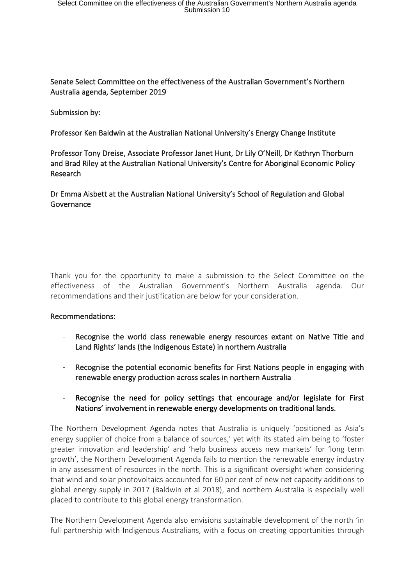# Senate Select Committee on the effectiveness of the Australian Government's Northern Australia agenda, September 2019

Submission by:

Professor Ken Baldwin at the Australian National University's Energy Change Institute

Professor Tony Dreise, Associate Professor Janet Hunt, Dr Lily O'Neill, Dr Kathryn Thorburn and Brad Riley at the Australian National University's Centre for Aboriginal Economic Policy Research

Dr Emma Aisbett at the Australian National University's School of Regulation and Global Governance

Thank you for the opportunity to make a submission to the Select Committee on the effectiveness of the Australian Government's Northern Australia agenda. Our recommendations and their justification are below for your consideration.

# Recommendations:

- Recognise the world class renewable energy resources extant on Native Title and Land Rights' lands (the Indigenous Estate) in northern Australia
- Recognise the potential economic benefits for First Nations people in engaging with renewable energy production across scales in northern Australia
- Recognise the need for policy settings that encourage and/or legislate for First Nations' involvement in renewable energy developments on traditional lands.

The Northern Development Agenda notes that Australia is uniquely 'positioned as Asia's energy supplier of choice from a balance of sources,' yet with its stated aim being to 'foster greater innovation and leadership' and 'help business access new markets' for 'long term growth', the Northern Development Agenda fails to mention the renewable energy industry in any assessment of resources in the north. This is a significant oversight when considering that wind and solar photovoltaics accounted for 60 per cent of new net capacity additions to global energy supply in 2017 (Baldwin et al 2018), and northern Australia is especially well placed to contribute to this global energy transformation.

The Northern Development Agenda also envisions sustainable development of the north 'in full partnership with Indigenous Australians, with a focus on creating opportunities through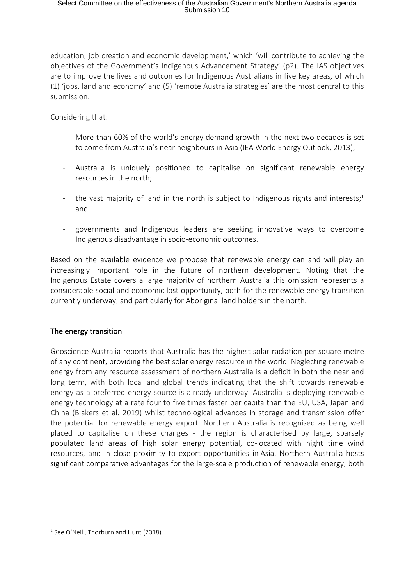education, job creation and economic development,' which 'will contribute to achieving the objectives of the Government's Indigenous Advancement Strategy' (p2). The IAS objectives are to improve the lives and outcomes for Indigenous Australians in five key areas, of which (1) 'jobs, land and economy' and (5) 'remote Australia strategies' are the most central to this submission.

Considering that:

- More than 60% of the world's energy demand growth in the next two decades is set to come from Australia's near neighbours in Asia (IEA World Energy Outlook, 2013);
- Australia is uniquely positioned to capitalise on significant renewable energy resources in the north;
- the vast majority of land in the north is subject to Indigenous rights and interests;<sup>1</sup> and
- governments and Indigenous leaders are seeking innovative ways to overcome Indigenous disadvantage in socio-economic outcomes.

Based on the available evidence we propose that renewable energy can and will play an increasingly important role in the future of northern development. Noting that the Indigenous Estate covers a large majority of northern Australia this omission represents a considerable social and economic lost opportunity, both for the renewable energy transition currently underway, and particularly for Aboriginal land holders in the north.

# The energy transition

Geoscience Australia reports that Australia has the highest solar radiation per square metre of any continent, providing the best solar energy resource in the world. Neglecting renewable energy from any resource assessment of northern Australia is a deficit in both the near and long term, with both local and global trends indicating that the shift towards renewable energy as a preferred energy source is already underway. Australia is deploying renewable energy technology at a rate four to five times faster per capita than the EU, USA, Japan and China (Blakers et al. 2019) whilst technological advances in storage and transmission offer the potential for renewable energy export. Northern Australia is recognised as being well placed to capitalise on these changes - the region is characterised by large, sparsely populated land areas of high solar energy potential, co-located with night time wind resources, and in close proximity to export opportunities in Asia. Northern Australia hosts significant comparative advantages for the large-scale production of renewable energy, both

 $1$  See O'Neill, Thorburn and Hunt (2018).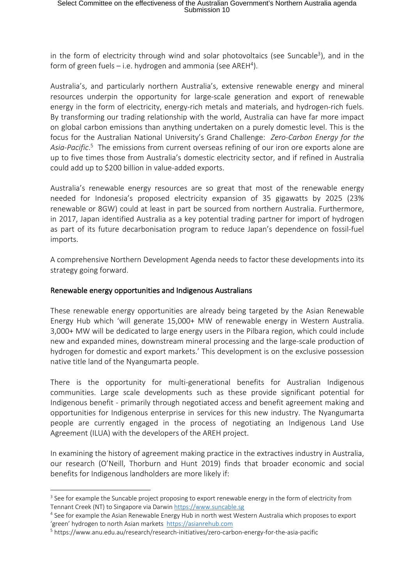in the form of electricity through wind and solar photovoltaics (see Suncable<sup>3</sup>), and in the form of green fuels  $-$  i.e. hydrogen and ammonia (see AREH<sup>4</sup>).

Australia's, and particularly northern Australia's, extensive renewable energy and mineral resources underpin the opportunity for large-scale generation and export of renewable energy in the form of electricity, energy-rich metals and materials, and hydrogen-rich fuels. By transforming our trading relationship with the world, Australia can have far more impact on global carbon emissions than anything undertaken on a purely domestic level. This is the focus for the Australian National University's Grand Challenge: *Zero-Carbon Energy for the Asia-Pacific*. <sup>5</sup>The emissions from current overseas refining of our iron ore exports alone are up to five times those from Australia's domestic electricity sector, and if refined in Australia could add up to \$200 billion in value-added exports.

Australia's renewable energy resources are so great that most of the renewable energy needed for Indonesia's proposed electricity expansion of 35 gigawatts by 2025 (23% renewable or 8GW) could at least in part be sourced from northern Australia. Furthermore, in 2017, Japan identified Australia as a key potential trading partner for import of hydrogen as part of its future decarbonisation program to reduce Japan's dependence on fossil-fuel imports.

A comprehensive Northern Development Agenda needs to factor these developments into its strategy going forward.

### Renewable energy opportunities and Indigenous Australians

These renewable energy opportunities are already being targeted by the Asian Renewable Energy Hub which 'will generate 15,000+ MW of renewable energy in Western Australia. 3,000+ MW will be dedicated to large energy users in the Pilbara region, which could include new and expanded mines, downstream mineral processing and the large-scale production of hydrogen for domestic and export markets.' This development is on the exclusive possession native title land of the Nyangumarta people.

There is the opportunity for multi-generational benefits for Australian Indigenous communities. Large scale developments such as these provide significant potential for Indigenous benefit - primarily through negotiated access and benefit agreement making and opportunities for Indigenous enterprise in services for this new industry. The Nyangumarta people are currently engaged in the process of negotiating an Indigenous Land Use Agreement (ILUA) with the developers of the AREH project.

In examining the history of agreement making practice in the extractives industry in Australia, our research (O'Neill, Thorburn and Hunt 2019) finds that broader economic and social benefits for Indigenous landholders are more likely if:

<sup>&</sup>lt;sup>3</sup> See for example the Suncable project proposing to export renewable energy in the form of electricity from Tennant Creek (NT) to Singapore via Darwin https://www.suncable.sg

<sup>4</sup> See for example the Asian Renewable Energy Hub in north west Western Australia which proposes to export 'green' hydrogen to north Asian markets https://asianrehub.com

<sup>5</sup> https://www.anu.edu.au/research/research-initiatives/zero-carbon-energy-for-the-asia-pacific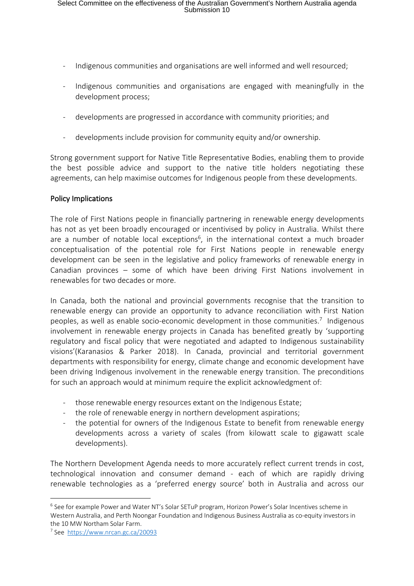- Indigenous communities and organisations are well informed and well resourced;
- Indigenous communities and organisations are engaged with meaningfully in the development process;
- developments are progressed in accordance with community priorities; and
- developments include provision for community equity and/or ownership.

Strong government support for Native Title Representative Bodies, enabling them to provide the best possible advice and support to the native title holders negotiating these agreements, can help maximise outcomes for Indigenous people from these developments.

### Policy Implications

The role of First Nations people in financially partnering in renewable energy developments has not as yet been broadly encouraged or incentivised by policy in Australia. Whilst there are a number of notable local exceptions<sup>6</sup>, in the international context a much broader conceptualisation of the potential role for First Nations people in renewable energy development can be seen in the legislative and policy frameworks of renewable energy in Canadian provinces – some of which have been driving First Nations involvement in renewables for two decades or more.

In Canada, both the national and provincial governments recognise that the transition to renewable energy can provide an opportunity to advance reconciliation with First Nation peoples, as well as enable socio-economic development in those communities.<sup>7</sup> Indigenous involvement in renewable energy projects in Canada has benefited greatly by 'supporting regulatory and fiscal policy that were negotiated and adapted to Indigenous sustainability visions'(Karanasios & Parker 2018). In Canada, provincial and territorial government departments with responsibility for energy, climate change and economic development have been driving Indigenous involvement in the renewable energy transition. The preconditions for such an approach would at minimum require the explicit acknowledgment of:

- those renewable energy resources extant on the Indigenous Estate;
- the role of renewable energy in northern development aspirations;
- the potential for owners of the Indigenous Estate to benefit from renewable energy developments across a variety of scales (from kilowatt scale to gigawatt scale developments).

The Northern Development Agenda needs to more accurately reflect current trends in cost, technological innovation and consumer demand - each of which are rapidly driving renewable technologies as a 'preferred energy source' both in Australia and across our

<sup>&</sup>lt;sup>6</sup> See for example Power and Water NT's Solar SETuP program, Horizon Power's Solar Incentives scheme in Western Australia, and Perth Noongar Foundation and Indigenous Business Australia as co-equity investors in the 10 MW Northam Solar Farm.

<sup>7</sup> See https://www.nrcan.gc.ca/20093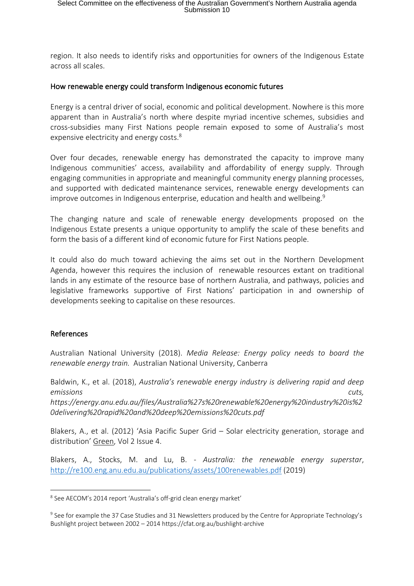region. It also needs to identify risks and opportunities for owners of the Indigenous Estate across all scales.

#### How renewable energy could transform Indigenous economic futures

Energy is a central driver of social, economic and political development. Nowhere is this more apparent than in Australia's north where despite myriad incentive schemes, subsidies and cross-subsidies many First Nations people remain exposed to some of Australia's most expensive electricity and energy costs.<sup>8</sup>

Over four decades, renewable energy has demonstrated the capacity to improve many Indigenous communities' access, availability and affordability of energy supply. Through engaging communities in appropriate and meaningful community energy planning processes, and supported with dedicated maintenance services, renewable energy developments can improve outcomes in Indigenous enterprise, education and health and wellbeing. 9

The changing nature and scale of renewable energy developments proposed on the Indigenous Estate presents a unique opportunity to amplify the scale of these benefits and form the basis of a different kind of economic future for First Nations people.

It could also do much toward achieving the aims set out in the Northern Development Agenda, however this requires the inclusion of renewable resources extant on traditional lands in any estimate of the resource base of northern Australia, and pathways, policies and legislative frameworks supportive of First Nations' participation in and ownership of developments seeking to capitalise on these resources.

#### References

Australian National University (2018). *Media Release: Energy policy needs to board the renewable energy train.* Australian National University, Canberra

Baldwin, K., et al. (2018), *Australia's renewable energy industry is delivering rapid and deep emissions cuts, https://energy.anu.edu.au/files/Australia%27s%20renewable%20energy%20industry%20is%2 0delivering%20rapid%20and%20deep%20emissions%20cuts.pdf*

Blakers, A., et al. (2012) 'Asia Pacific Super Grid – Solar electricity generation, storage and distribution' Green, Vol 2 Issue 4.

Blakers, A., Stocks, M. and Lu, B. - *Australia: the renewable energy superstar*, http://re100.eng.anu.edu.au/publications/assets/100renewables.pdf (2019)

<sup>&</sup>lt;sup>8</sup> See AECOM's 2014 report 'Australia's off-grid clean energy market'

<sup>9</sup> See for example the 37 Case Studies and 31 Newsletters produced by the Centre for Appropriate Technology's Bushlight project between 2002 – 2014 https://cfat.org.au/bushlight-archive